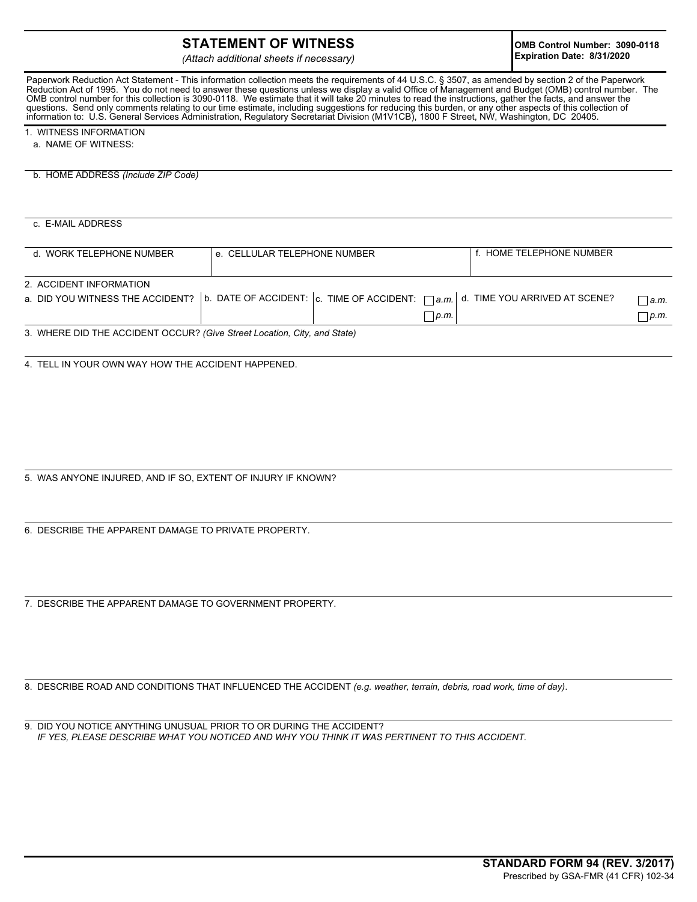## **STATEMENT OF WITNESS**

*(Attach additional sheets if necessary)*

Paperwork Reduction Act Statement - This information collection meets the requirements of 44 U.S.C. § 3507, as amended by section 2 of the Paperwork Reduction Act of 1995. You do not need to answer these questions unless we display a valid Office of Management and Budget (OMB) control number. The OMB control number for this collection is 3090-0118. We estimate that it will take 20 minutes to read the instructions, gather the facts, and answer the questions. Send only comments relating to our time estimate, including suggestions for reducing this burden, or any other aspects of this collection of information to: U.S. General Services Administration, Regulatory Secretariat Division (M1V1CB), 1800 F Street, NW, Washington, DC 20405.

1. WITNESS INFORMATION

a. NAME OF WITNESS:

b. HOME ADDRESS *(Include ZIP Code)*

c. E-MAIL ADDRESS

| d. WORK TELEPHONE NUMBER | e. CELLULAR TELEPHONE NUMBER                                                                                                                             | f. HOME TELEPHONE NUMBER |              |
|--------------------------|----------------------------------------------------------------------------------------------------------------------------------------------------------|--------------------------|--------------|
| 2. ACCIDENT INFORMATION  | a. DID YOU WITNESS THE ACCIDENT?   b. DATE OF ACCIDENT: $ c $ . TIME OF ACCIDENT: $\bigcap_{a,m}$ d. TIME YOU ARRIVED AT SCENE?<br>$\lfloor p_m \rfloor$ |                          | a.m.<br>p.m. |

3. WHERE DID THE ACCIDENT OCCUR? *(Give Street Location, City, and State)*

4. TELL IN YOUR OWN WAY HOW THE ACCIDENT HAPPENED.

5. WAS ANYONE INJURED, AND IF SO, EXTENT OF INJURY IF KNOWN?

6. DESCRIBE THE APPARENT DAMAGE TO PRIVATE PROPERTY.

7. DESCRIBE THE APPARENT DAMAGE TO GOVERNMENT PROPERTY.

8. DESCRIBE ROAD AND CONDITIONS THAT INFLUENCED THE ACCIDENT *(e.g. weather, terrain, debris, road work, time of day)*.

9.DID YOU NOTICE ANYTHING UNUSUAL PRIOR TO OR DURING THE ACCIDENT? *IF YES, PLEASE DESCRIBE WHAT YOU NOTICED AND WHY YOU THINK IT WAS PERTINENT TO THIS ACCIDENT.*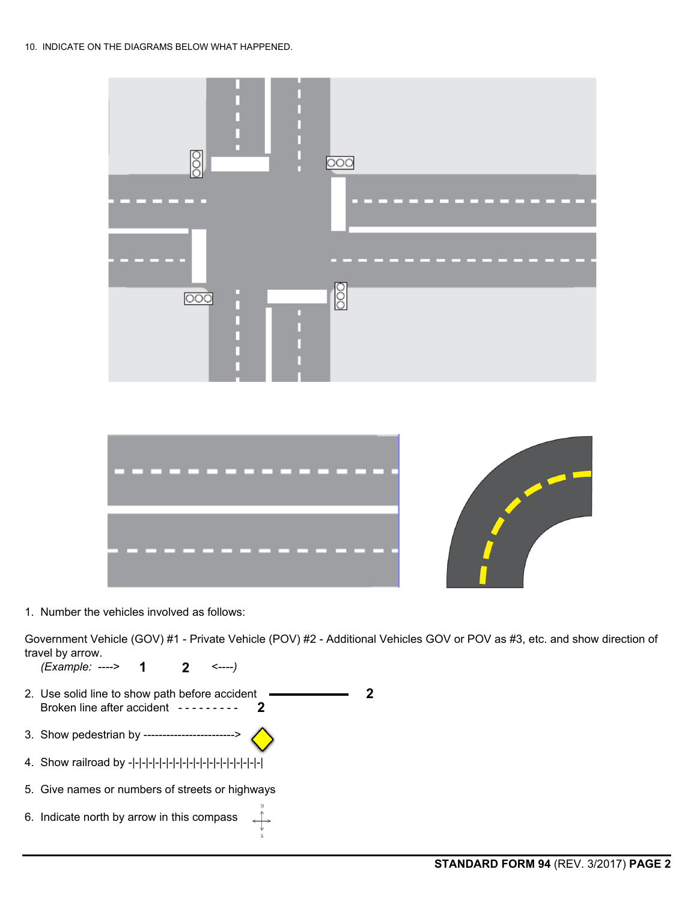



1. Number the vehicles involved as follows:

Government Vehicle (GOV) #1 - Private Vehicle (POV) #2 - Additional Vehicles GOV or POV as #3, etc. and show direction of travel by arrow.

**2**

 *(Example:* ----> <----*)*  **1 2**

- 2. Use solid line to show path before accident Broken line after accident ---------**2**
- 3. Show pedestrian by ------------------------>
- 4. Show railroad by -|-|-|-|-|-|-|-|-|-|-|-|-|-|-|-|-|-|-|-|
- 5. Give names or numbers of streets or highways
- 6. Indicate north by arrow in this compass